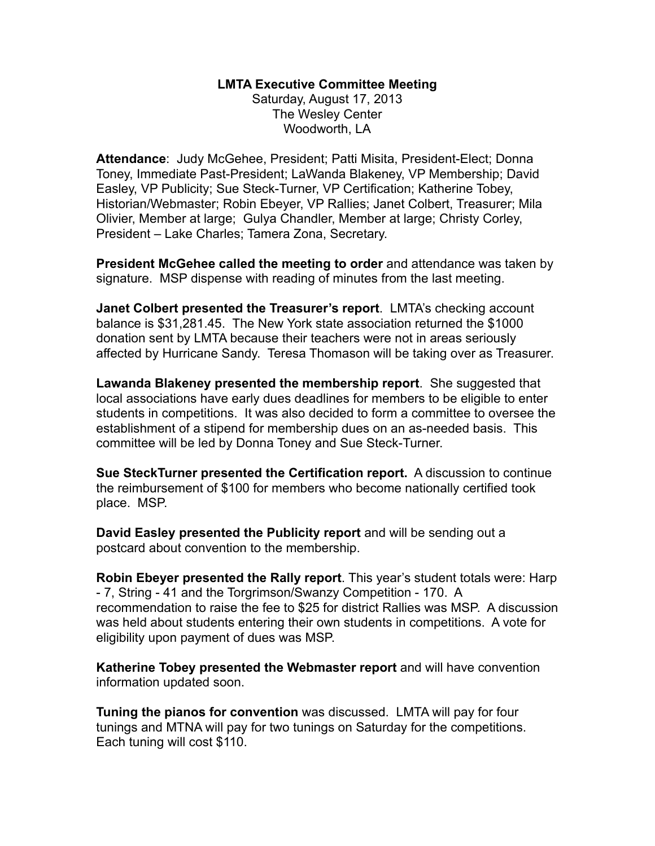## **LMTA Executive Committee Meeting**

Saturday, August 17, 2013 The Wesley Center Woodworth, LA

**Attendance**: Judy McGehee, President; Patti Misita, President-Elect; Donna Toney, Immediate Past-President; LaWanda Blakeney, VP Membership; David Easley, VP Publicity; Sue Steck-Turner, VP Certification; Katherine Tobey, Historian/Webmaster; Robin Ebeyer, VP Rallies; Janet Colbert, Treasurer; Mila Olivier, Member at large; Gulya Chandler, Member at large; Christy Corley, President – Lake Charles; Tamera Zona, Secretary.

**President McGehee called the meeting to order** and attendance was taken by signature. MSP dispense with reading of minutes from the last meeting.

**Janet Colbert presented the Treasurer's report**. LMTA's checking account balance is \$31,281.45. The New York state association returned the \$1000 donation sent by LMTA because their teachers were not in areas seriously affected by Hurricane Sandy. Teresa Thomason will be taking over as Treasurer.

**Lawanda Blakeney presented the membership report**. She suggested that local associations have early dues deadlines for members to be eligible to enter students in competitions. It was also decided to form a committee to oversee the establishment of a stipend for membership dues on an as-needed basis. This committee will be led by Donna Toney and Sue Steck-Turner.

**Sue SteckTurner presented the Certification report.** A discussion to continue the reimbursement of \$100 for members who become nationally certified took place. MSP.

**David Easley presented the Publicity report** and will be sending out a postcard about convention to the membership.

**Robin Ebeyer presented the Rally report**. This year's student totals were: Harp - 7, String - 41 and the Torgrimson/Swanzy Competition - 170. A recommendation to raise the fee to \$25 for district Rallies was MSP. A discussion was held about students entering their own students in competitions. A vote for eligibility upon payment of dues was MSP.

**Katherine Tobey presented the Webmaster report** and will have convention information updated soon.

**Tuning the pianos for convention** was discussed. LMTA will pay for four tunings and MTNA will pay for two tunings on Saturday for the competitions. Each tuning will cost \$110.